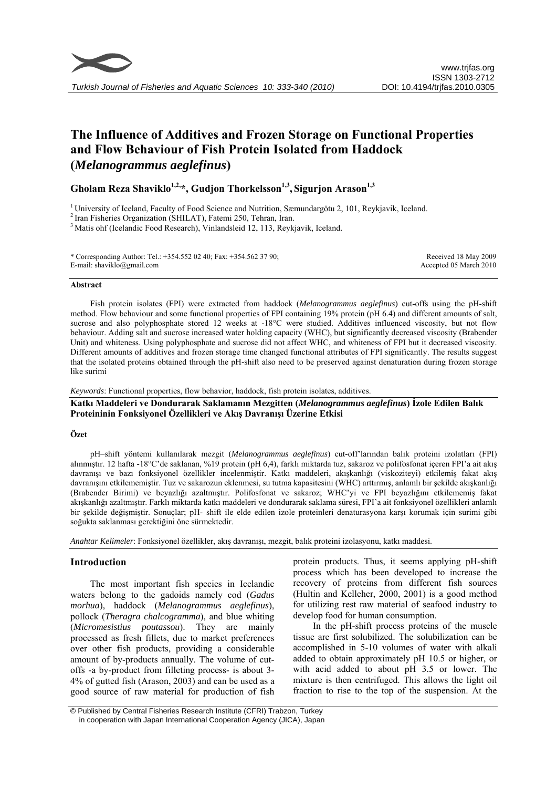

# **The Influence of Additives and Frozen Storage on Functional Properties and Flow Behaviour of Fish Protein Isolated from Haddock (***Melanogrammus aeglefinus***)**

Gholam Reza Shaviklo<sup>1,2,\*</sup>, Gudjon Thorkelsson<sup>1,3</sup>, Sigurjon Arason<sup>1,3</sup>

<sup>1</sup> University of Iceland, Faculty of Food Science and Nutrition, Sæmundargötu 2, 101, Reykjavik, Iceland.<br><sup>2</sup> Iran Fisheries Organization (SHILAT), Fatemi 250, Tehran, Iran.<br><sup>3</sup> Matis ohf (Icelandic Food Research), Vinla

\* Corresponding Author: Tel.: +354.552 02 40; Fax: +354.562 37 90; E-mail: shaviklo@gmail.com

Received 18 May 2009 Accepted 05 March 2010

#### **Abstract**

Fish protein isolates (FPI) were extracted from haddock (*Melanogrammus aeglefinus*) cut-offs using the pH-shift method. Flow behaviour and some functional properties of FPI containing 19% protein (pH 6.4) and different amounts of salt, sucrose and also polyphosphate stored 12 weeks at -18°C were studied. Additives influenced viscosity, but not flow behaviour. Adding salt and sucrose increased water holding capacity (WHC), but significantly decreased viscosity (Brabender Unit) and whiteness. Using polyphosphate and sucrose did not affect WHC, and whiteness of FPI but it decreased viscosity. Different amounts of additives and frozen storage time changed functional attributes of FPI significantly. The results suggest that the isolated proteins obtained through the pH-shift also need to be preserved against denaturation during frozen storage like surimi

*Keywords*: Functional properties, flow behavior, haddock, fish protein isolates, additives.

**Katkı Maddeleri ve Dondurarak Saklamanın Mezgitten (***Melanogrammus aeglefinus***) İzole Edilen Balık Proteininin Fonksiyonel Özellikleri ve Akış Davranışı Üzerine Etkisi** 

# **Özet**

pH–shift yöntemi kullanılarak mezgit (*Melanogrammus aeglefinus*) cut-off'larından balık proteini izolatları (FPI) alınmıştır. 12 hafta -18°C'de saklanan, %19 protein (pH 6,4), farklı miktarda tuz, sakaroz ve polifosfonat içeren FPI'a ait akış davranışı ve bazı fonksiyonel özellikler incelenmiştir. Katkı maddeleri, akışkanlığı (viskoziteyi) etkilemiş fakat akış davranışını etkilememiştir. Tuz ve sakarozun eklenmesi, su tutma kapasitesini (WHC) arttırmış, anlamlı bir şekilde akışkanlığı (Brabender Birimi) ve beyazlığı azaltmıştır. Polifosfonat ve sakaroz; WHC'yi ve FPI beyazlığını etkilememiş fakat akışkanlığı azaltmıştır. Farklı miktarda katkı maddeleri ve dondurarak saklama süresi, FPI'a ait fonksiyonel özellikleri anlamlı bir şekilde değişmiştir. Sonuçlar; pH- shift ile elde edilen izole proteinleri denaturasyona karşı korumak için surimi gibi soğukta saklanması gerektiğini öne sürmektedir.

*Anahtar Kelimeler*: Fonksiyonel özellikler, akış davranışı, mezgit, balık proteini izolasyonu, katkı maddesi.

### **Introduction**

The most important fish species in Icelandic waters belong to the gadoids namely cod (*Gadus morhua*), haddock (*Melanogrammus aeglefinus*), pollock (*Theragra chalcogramma*), and blue whiting (*Micromesistius poutassou*). They are mainly processed as fresh fillets, due to market preferences over other fish products, providing a considerable amount of by-products annually. The volume of cutoffs -a by-product from filleting process- is about 3- 4% of gutted fish (Arason, 2003) and can be used as a good source of raw material for production of fish

protein products. Thus, it seems applying pH-shift process which has been developed to increase the recovery of proteins from different fish sources (Hultin and Kelleher, 2000, 2001) is a good method for utilizing rest raw material of seafood industry to develop food for human consumption.

In the pH-shift process proteins of the muscle tissue are first solubilized. The solubilization can be accomplished in 5-10 volumes of water with alkali added to obtain approximately pH 10.5 or higher, or with acid added to about pH 3.5 or lower. The mixture is then centrifuged. This allows the light oil fraction to rise to the top of the suspension. At the

 <sup>©</sup> Published by Central Fisheries Research Institute (CFRI) Trabzon, Turkey in cooperation with Japan International Cooperation Agency (JICA), Japan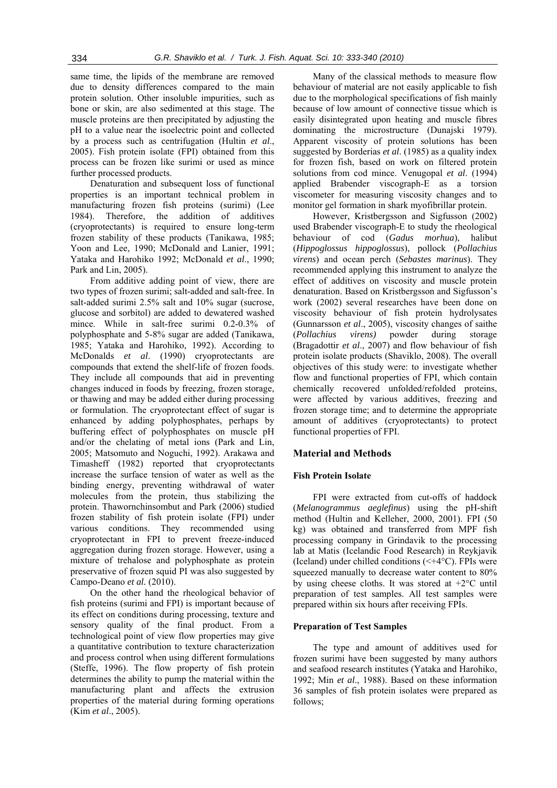same time, the lipids of the membrane are removed due to density differences compared to the main protein solution. Other insoluble impurities, such as bone or skin, are also sedimented at this stage. The muscle proteins are then precipitated by adjusting the pH to a value near the isoelectric point and collected by a process such as centrifugation (Hultin *et al*., 2005). Fish protein isolate (FPI) obtained from this process can be frozen like surimi or used as mince further processed products.

Denaturation and subsequent loss of functional properties is an important technical problem in manufacturing frozen fish proteins (surimi) (Lee 1984). Therefore, the addition of additives (cryoprotectants) is required to ensure long-term frozen stability of these products (Tanikawa, 1985; Yoon and Lee, 1990; McDonald and Lanier, 1991; Yataka and Harohiko 1992; McDonald *et al*., 1990; Park and Lin, 2005).

From additive adding point of view, there are two types of frozen surimi; salt-added and salt-free. In salt-added surimi 2.5% salt and 10% sugar (sucrose, glucose and sorbitol) are added to dewatered washed mince. While in salt-free surimi 0.2-0.3% of polyphosphate and 5-8% sugar are added (Tanikawa, 1985; Yataka and Harohiko, 1992). According to McDonalds *et al*. (1990) cryoprotectants are compounds that extend the shelf-life of frozen foods. They include all compounds that aid in preventing changes induced in foods by freezing, frozen storage, or thawing and may be added either during processing or formulation. The cryoprotectant effect of sugar is enhanced by adding polyphosphates, perhaps by buffering effect of polyphosphates on muscle pH and/or the chelating of metal ions (Park and Lin, 2005; Matsomuto and Noguchi, 1992). Arakawa and Timasheff (1982) reported that cryoprotectants increase the surface tension of water as well as the binding energy, preventing withdrawal of water molecules from the protein, thus stabilizing the protein. Thawornchinsombut and Park (2006) studied frozen stability of fish protein isolate (FPI) under various conditions. They recommended using cryoprotectant in FPI to prevent freeze-induced aggregation during frozen storage. However, using a mixture of trehalose and polyphosphate as protein preservative of frozen squid PI was also suggested by Campo-Deano *et al.* (2010).

On the other hand the rheological behavior of fish proteins (surimi and FPI) is important because of its effect on conditions during processing, texture and sensory quality of the final product. From a technological point of view flow properties may give a quantitative contribution to texture characterization and process control when using different formulations (Steffe, 1996). The flow property of fish protein determines the ability to pump the material within the manufacturing plant and affects the extrusion properties of the material during forming operations (Kim *et al*., 2005).

Many of the classical methods to measure flow behaviour of material are not easily applicable to fish due to the morphological specifications of fish mainly because of low amount of connective tissue which is easily disintegrated upon heating and muscle fibres dominating the microstructure (Dunajski 1979). Apparent viscosity of protein solutions has been suggested by Borderias *et al*. (1985) as a quality index for frozen fish, based on work on filtered protein solutions from cod mince. Venugopal *et al*. (1994) applied Brabender viscograph-E as a torsion viscometer for measuring viscosity changes and to monitor gel formation in shark myofibrillar protein.

However, Kristbergsson and Sigfusson (2002) used Brabender viscograph-E to study the rheological behaviour of cod (*Gadus morhua*), halibut (*Hippoglossus hippoglossus*), pollock (*Pollachius virens*) and ocean perch (*Sebastes marinus*). They recommended applying this instrument to analyze the effect of additives on viscosity and muscle protein denaturation. Based on Kristbergsson and Sigfusson's work (2002) several researches have been done on viscosity behaviour of fish protein hydrolysates (Gunnarsson *et al*., 2005), viscosity changes of saithe (*Pollachius virens)* powder during storage (Bragadottir *et al*., 2007) and flow behaviour of fish protein isolate products (Shaviklo, 2008). The overall objectives of this study were: to investigate whether flow and functional properties of FPI, which contain chemically recovered unfolded/refolded proteins, were affected by various additives, freezing and frozen storage time; and to determine the appropriate amount of additives (cryoprotectants) to protect functional properties of FPI.

# **Material and Methods**

# **Fish Protein Isolate**

FPI were extracted from cut-offs of haddock (*Melanogrammus aeglefinus*) using the pH-shift method (Hultin and Kelleher, 2000, 2001). FPI (50 kg) was obtained and transferred from MPF fish processing company in Grindavik to the processing lab at Matis (Icelandic Food Research) in Reykjavik (Iceland) under chilled conditions  $(\leq +4^{\circ}C)$ . FPIs were squeezed manually to decrease water content to 80% by using cheese cloths. It was stored at +2°C until preparation of test samples. All test samples were prepared within six hours after receiving FPIs.

### **Preparation of Test Samples**

The type and amount of additives used for frozen surimi have been suggested by many authors and seafood research institutes (Yataka and Harohiko, 1992; Min *et al*., 1988). Based on these information 36 samples of fish protein isolates were prepared as follows;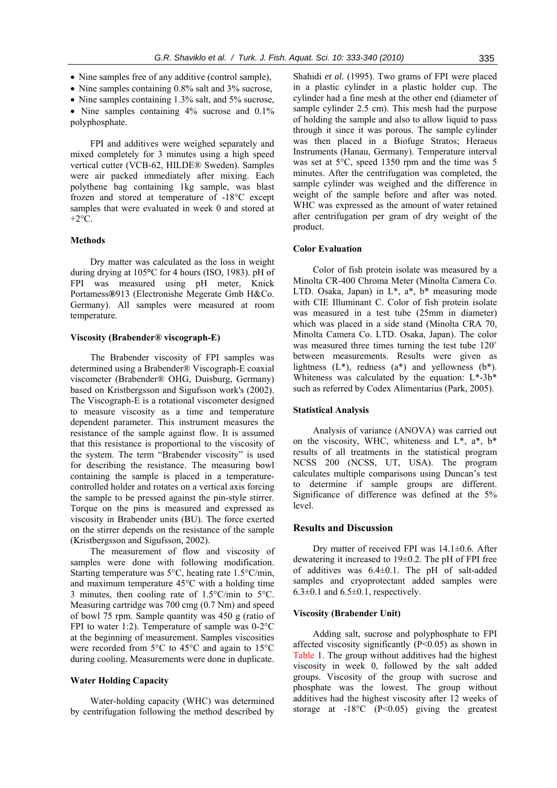- Nine samples free of any additive (control sample),
- Nine samples containing 0.8% salt and 3% sucrose,
- Nine samples containing 1.3% salt, and 5% sucrose,
- Nine samples containing 4% sucrose and 0.1% polyphosphate.

FPI and additives were weighed separately and mixed completely for 3 minutes using a high speed vertical cutter (VCB-62, HILDE® Sweden). Samples were air packed immediately after mixing. Each polythene bag containing 1kg sample, was blast frozen and stored at temperature of -18°C except samples that were evaluated in week 0 and stored at  $+2$ °C.

### **Methods**

Dry matter was calculated as the loss in weight during drying at 105**°**C for 4 hours (ISO, 1983). pH of FPI was measured using pH meter, Knick Portamess**®**913 (Electronishe Megerate Gmb H&Co. Germany). All samples were measured at room temperature.

### **Viscosity (Brabender® viscograph-E)**

The Brabender viscosity of FPI samples was determined using a Brabender® Viscograph-E coaxial viscometer (Brabender® OHG, Duisburg, Germany) based on Kristbergsson and Sigufsson work's (2002). The Viscograph-E is a rotational viscometer designed to measure viscosity as a time and temperature dependent parameter. This instrument measures the resistance of the sample against flow. It is assumed that this resistance is proportional to the viscosity of the system. The term "Brabender viscosity" is used for describing the resistance. The measuring bowl containing the sample is placed in a temperaturecontrolled holder and rotates on a vertical axis forcing the sample to be pressed against the pin-style stirrer. Torque on the pins is measured and expressed as viscosity in Brabender units (BU). The force exerted on the stirrer depends on the resistance of the sample (Kristbergsson and Sigufsson, 2002).

The measurement of flow and viscosity of samples were done with following modification. Starting temperature was 5°C, heating rate 1.5°C/min, and maximum temperature 45°C with a holding time 3 minutes, then cooling rate of 1.5°C/min to 5°C. Measuring cartridge was 700 cmg (0.7 Nm) and speed of bowl 75 rpm. Sample quantity was 450 g (ratio of FPI to water 1:2). Temperature of sample was 0-2°C at the beginning of measurement. Samples viscosities were recorded from 5°C to 45°C and again to 15°C during cooling. Measurements were done in duplicate.

# **Water Holding Capacity**

Water-holding capacity (WHC) was determined by centrifugation following the method described by

Shahidi *et al.* (1995). Two grams of FPI were placed in a plastic cylinder in a plastic holder cup. The cylinder had a fine mesh at the other end (diameter of sample cylinder 2.5 cm). This mesh had the purpose of holding the sample and also to allow liquid to pass through it since it was porous. The sample cylinder was then placed in a Biofuge Stratos; Heraeus Instruments (Hanau, Germany). Temperature interval was set at 5°C, speed 1350 rpm and the time was 5 minutes. After the centrifugation was completed, the sample cylinder was weighed and the difference in weight of the sample before and after was noted. WHC was expressed as the amount of water retained after centrifugation per gram of dry weight of the product.

#### **Color Evaluation**

Color of fish protein isolate was measured by a Minolta CR-400 Chroma Meter (Minolta Camera Co. LTD. Osaka, Japan) in  $L^*$ ,  $a^*$ ,  $b^*$  measuring mode with CIE Illuminant C. Color of fish protein isolate was measured in a test tube (25mm in diameter) which was placed in a side stand (Minolta CRA 70, Minolta Camera Co. LTD. Osaka, Japan). The color was measured three times turning the test tube 120° between measurements. Results were given as lightness  $(L^*)$ , redness  $(a^*)$  and yellowness  $(b^*)$ . Whiteness was calculated by the equation: L\*-3b\* such as referred by Codex Alimentarius (Park, 2005).

### **Statistical Analysis**

Analysis of variance (ANOVA) was carried out on the viscosity, WHC, whiteness and  $L^*$ ,  $a^*$ ,  $b^*$ results of all treatments in the statistical program NCSS 200 (NCSS, UT, USA). The program calculates multiple comparisons using Duncan's test to determine if sample groups are different. Significance of difference was defined at the 5% level.

# **Results and Discussion**

Dry matter of received FPI was  $14.1\pm0.6$ . After dewatering it increased to  $19\pm0.2$ . The pH of FPI free of additives was 6.4±0.1. The pH of salt-added samples and cryoprotectant added samples were  $6.3\pm0.1$  and  $6.5\pm0.1$ , respectively.

#### **Viscosity (Brabender Unit)**

Adding salt, sucrose and polyphosphate to FPI affected viscosity significantly  $(P<0.05)$  as shown in Table 1. The group without additives had the highest viscosity in week 0, followed by the salt added groups. Viscosity of the group with sucrose and phosphate was the lowest. The group without additives had the highest viscosity after 12 weeks of storage at -18°C (P<0.05) giving the greatest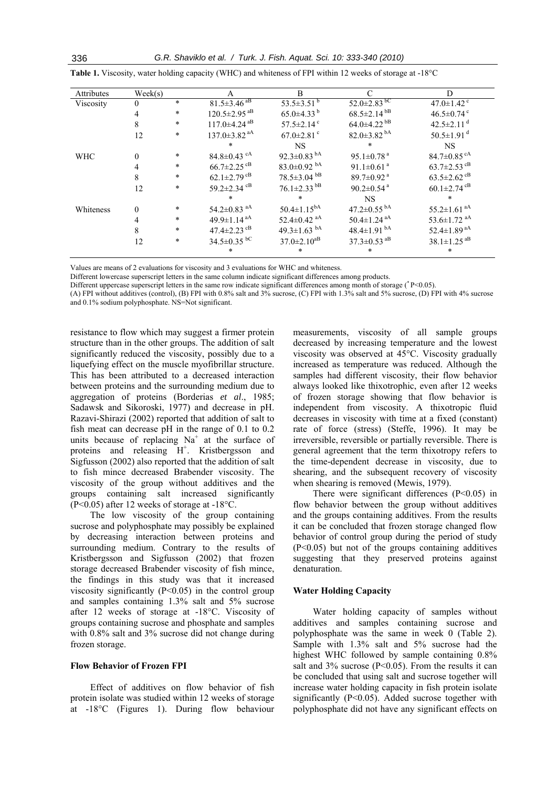| Attributes | Week(s)  |        | A                              | B                             | C                             | D                             |
|------------|----------|--------|--------------------------------|-------------------------------|-------------------------------|-------------------------------|
| Viscosity  | $\theta$ | $\ast$ | $81.5 \pm 3.46$ <sup>aB</sup>  | 53.5 $\pm$ 3.51 <sup>b</sup>  | $52.0 \pm 2.83$ <sup>bC</sup> | 47.0 $\pm$ 1.42 <sup>c</sup>  |
|            | 4        | $\ast$ | $120.5 \pm 2.95$ <sup>aB</sup> | $65.0\pm4.33^{b}$             | $68.5 \pm 2.14$ <sup>bB</sup> | $46.5 \pm 0.74$ <sup>c</sup>  |
|            | 8        | $\ast$ | $117.0 \pm 4.24$ <sup>aB</sup> | 57.5 $\pm$ 2.14 $\degree$     | $64.0\pm4.22$ <sup>bB</sup>   | 42.5 $\pm$ 2.11 <sup>d</sup>  |
|            | 12       | $\ast$ | $137.0 \pm 3.82$ <sup>aA</sup> | $67.0 \pm 2.81$ °             | $82.0 \pm 3.82$ <sup>bA</sup> | $50.5 \pm 1.91$ <sup>d</sup>  |
|            |          |        | $\ast$                         | <b>NS</b>                     | $\ast$                        | <b>NS</b>                     |
| <b>WHC</b> |          | *      | 84.8 $\pm$ 0.43 <sup>cA</sup>  | $92.3 \pm 0.83$ <sup>bA</sup> | $95.1 \pm 0.78$ <sup>a</sup>  | 84.7 $\pm$ 0.85 $\rm ^{cA}$   |
|            | 4        | $\ast$ | $66.7 \pm 2.25$ <sup>cB</sup>  | 83.0 $\pm$ 0.92 $^{\rm{bA}}$  | 91.1 $\pm$ 0.61 <sup>a</sup>  | 63.7 $\pm$ 2.53 <sup>cB</sup> |
|            | 8        | $\ast$ | $62.1 \pm 2.79$ <sup>cB</sup>  | $78.5 \pm 3.04$ bB            | $89.7\pm0.92$ <sup>a</sup>    | $63.5 \pm 2.62$ <sup>cB</sup> |
|            | 12       | $\ast$ | 59.2 $\pm$ 2.34 $\text{cB}$    | $76.1 \pm 2.33$ <sup>bB</sup> | $90.2 \pm 0.54$ <sup>a</sup>  | $60.1 \pm 2.74$ <sup>cB</sup> |
|            |          |        |                                | *                             | <b>NS</b>                     | $\ast$                        |
| Whiteness  | $\theta$ | $\ast$ | 54.2 $\pm$ 0.83 <sup>aA</sup>  | $50.4 \pm 1.15^{bA}$          | $47.2 \pm 0.55$ <sup>bA</sup> | 55.2 $\pm$ 1.61 <sup>aA</sup> |
|            | 4        | $\ast$ | $49.9 \pm 1.14$ <sup>aA</sup>  | 52.4 $\pm$ 0.42 <sup>aA</sup> | 50.4 $\pm$ 1.24 <sup>aA</sup> | 53.6 $\pm$ 1.72 <sup>aA</sup> |
|            | 8        | $\ast$ | 47.4 $\pm$ 2.23 <sup>cB</sup>  | 49.3 $\pm$ 1.63 <sup>bA</sup> | 48.4 $\pm$ 1.91 <sup>bA</sup> | 52.4 $\pm$ 1.89 <sup>aA</sup> |
|            | 12       | $\ast$ | $34.5 \pm 0.35$ bC             | $37.0 \pm 2.10^{aB}$          | $37.3 \pm 0.53$ <sup>aB</sup> | $38.1 \pm 1.25$ <sup>aB</sup> |
|            |          |        |                                |                               |                               |                               |
|            |          |        |                                |                               |                               |                               |

|  |  | Table 1. Viscosity, water holding capacity (WHC) and whiteness of FPI within 12 weeks of storage at -18°C |  |  |  |  |  |  |
|--|--|-----------------------------------------------------------------------------------------------------------|--|--|--|--|--|--|
|--|--|-----------------------------------------------------------------------------------------------------------|--|--|--|--|--|--|

Values are means of 2 evaluations for viscosity and 3 evaluations for WHC and whiteness.

Different lowercase superscript letters in the same column indicate significant differences among products.

Different uppercase superscript letters in the same row indicate significant differences among month of storage (\* P<0.05).

(A) FPI without additives (control), (B) FPI with 0.8% salt and 3% sucrose, (C) FPI with 1.3% salt and 5% sucrose, (D) FPI with 4% sucrose and 0.1% sodium polyphosphate. NS=Not significant.

resistance to flow which may suggest a firmer protein structure than in the other groups. The addition of salt significantly reduced the viscosity, possibly due to a liquefying effect on the muscle myofibrillar structure. This has been attributed to a decreased interaction between proteins and the surrounding medium due to aggregation of proteins (Borderias *et al*., 1985; Sadawsk and Sikoroski, 1977) and decrease in pH. Razavi-Shirazi (2002) reported that addition of salt to fish meat can decrease pH in the range of 0.1 to 0.2 units because of replacing  $Na<sup>+</sup>$  at the surface of proteins and releasing H<sup>+</sup>. Kristbergsson and Sigfusson (2002) also reported that the addition of salt to fish mince decreased Brabender viscosity. The viscosity of the group without additives and the groups containing salt increased significantly (P<0.05) after 12 weeks of storage at -18°C.

The low viscosity of the group containing sucrose and polyphosphate may possibly be explained by decreasing interaction between proteins and surrounding medium. Contrary to the results of Kristbergsson and Sigfusson (2002) that frozen storage decreased Brabender viscosity of fish mince, the findings in this study was that it increased viscosity significantly  $(P<0.05)$  in the control group and samples containing 1.3% salt and 5% sucrose after 12 weeks of storage at -18°C. Viscosity of groups containing sucrose and phosphate and samples with 0.8% salt and 3% sucrose did not change during frozen storage.

### **Flow Behavior of Frozen FPI**

Effect of additives on flow behavior of fish protein isolate was studied within 12 weeks of storage at -18°C (Figures 1). During flow behaviour measurements, viscosity of all sample groups decreased by increasing temperature and the lowest viscosity was observed at 45°C. Viscosity gradually increased as temperature was reduced. Although the samples had different viscosity, their flow behavior always looked like thixotrophic, even after 12 weeks of frozen storage showing that flow behavior is independent from viscosity. A thixotropic fluid decreases in viscosity with time at a fixed (constant) rate of force (stress) (Steffe, 1996). It may be irreversible, reversible or partially reversible. There is general agreement that the term thixotropy refers to the time-dependent decrease in viscosity, due to shearing, and the subsequent recovery of viscosity when shearing is removed (Mewis, 1979).

There were significant differences (P<0.05) in flow behavior between the group without additives and the groups containing additives. From the results it can be concluded that frozen storage changed flow behavior of control group during the period of study (P<0.05) but not of the groups containing additives suggesting that they preserved proteins against denaturation.

### **Water Holding Capacity**

Water holding capacity of samples without additives and samples containing sucrose and polyphosphate was the same in week 0 (Table 2). Sample with 1.3% salt and 5% sucrose had the highest WHC followed by sample containing 0.8% salt and  $3\%$  sucrose (P<0.05). From the results it can be concluded that using salt and sucrose together will increase water holding capacity in fish protein isolate significantly  $(P<0.05)$ . Added sucrose together with polyphosphate did not have any significant effects on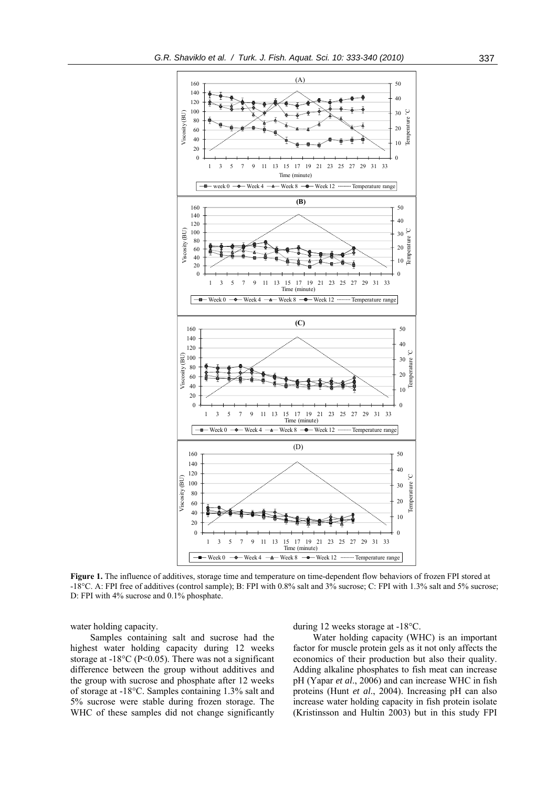

**Figure 1.** The influence of additives, storage time and temperature on time-dependent flow behaviors of frozen FPI stored at -18°C. A: FPI free of additives (control sample); B: FPI with 0.8% salt and 3% sucrose; C: FPI with 1.3% salt and 5% sucrose; D: FPI with 4% sucrose and 0.1% phosphate.

water holding capacity.

Samples containing salt and sucrose had the highest water holding capacity during 12 weeks storage at  $-18\degree$ C (P<0.05). There was not a significant difference between the group without additives and the group with sucrose and phosphate after 12 weeks of storage at -18°C. Samples containing 1.3% salt and 5% sucrose were stable during frozen storage. The WHC of these samples did not change significantly during 12 weeks storage at -18°C.

Water holding capacity (WHC) is an important factor for muscle protein gels as it not only affects the economics of their production but also their quality. Adding alkaline phosphates to fish meat can increase pH (Yapar *et al*., 2006) and can increase WHC in fish proteins (Hunt *et al*., 2004). Increasing pH can also increase water holding capacity in fish protein isolate (Kristinsson and Hultin 2003) but in this study FPI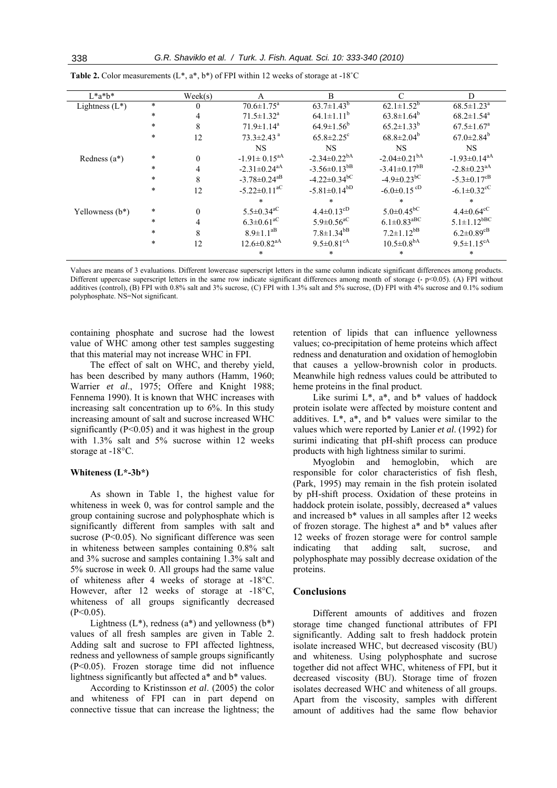| $L^*a^*b^*$        |        | Week(s)      | A                              | B                              | $\mathcal{C}$                  | D                              |
|--------------------|--------|--------------|--------------------------------|--------------------------------|--------------------------------|--------------------------------|
| Lightness $(L^*)$  | $\ast$ | $\mathbf{0}$ | $70.6 \pm 1.75^{\text{a}}$     | $63.7 \pm 1.43^b$              | $62.1 \pm 1.52^b$              | $68.5 \pm 1.23$ <sup>a</sup>   |
|                    | $\ast$ | 4            | $71.5 \pm 1.32$ <sup>a</sup>   | $64.1 \pm 1.11^b$              | $63.8 \pm 1.64^b$              | $68.2 \pm 1.54$ <sup>a</sup>   |
|                    | $\ast$ | 8            | $71.9 \pm 1.14^a$              | $64.9 \pm 1.56^b$              | $65.2 \pm 1.33^b$              | $67.5 \pm 1.67$ <sup>a</sup>   |
|                    | $\ast$ | 12           | $73.3 \pm 2.43$ <sup>a</sup>   | $65.8 \pm 2.25$ <sup>c</sup>   | $68.8 \pm 2.04^b$              | $67.0 \pm 2.84^b$              |
|                    |        |              | <b>NS</b>                      | <b>NS</b>                      | <b>NS</b>                      | <b>NS</b>                      |
| Redness $(a^*)$    | $\ast$ | $\theta$     | $-1.91 \pm 0.15^{aA}$          | $-2.34 \pm 0.22^{bA}$          | $-2.04\pm0.21^{bA}$            | $-1.93 \pm 0.14$ <sup>aA</sup> |
|                    | $\ast$ | 4            | $-2.31 \pm 0.24$ <sup>aA</sup> | $-3.56 \pm 0.13^{bB}$          | $-3.41 \pm 0.17$ <sup>bB</sup> | $-2.8 \pm 0.23$ <sup>aA</sup>  |
|                    | $\ast$ | 8            | $-3.78 \pm 0.24$ <sup>aB</sup> | $-4.22 \pm 0.34$ <sup>bC</sup> | $-4.9 \pm 0.23$ <sup>bC</sup>  | $-5.3 \pm 0.17$ <sup>cB</sup>  |
|                    | $\ast$ | 12           | $-5.22 \pm 0.11$ <sup>aC</sup> | $-5.81 \pm 0.14^{bD}$          | $-6.0\pm0.15$ <sup>cD</sup>    | $-6.1 \pm 0.32$ <sup>cC</sup>  |
|                    |        |              |                                |                                |                                |                                |
| Yellowness $(b^*)$ | $\ast$ | $\theta$     | $5.5 \pm 0.34$ <sup>aC</sup>   | $4.4 \pm 0.13$ <sup>cD</sup>   | $5.0 \pm 0.45$ <sup>bC</sup>   | $4.4 \pm 0.64$ <sup>cC</sup>   |
|                    | $\ast$ | 4            | $6.3 \pm 0.61$ <sup>aC</sup>   | $5.9 \pm 0.56$ <sup>aC</sup>   | $6.1 \pm 0.83$ <sup>aBC</sup>  | $5.1 \pm 1.12$ <sup>bBC</sup>  |
|                    | $\ast$ | 8            | $8.9 \pm 1.1^{aB}$             | $7.8 \pm 1.34$ <sup>bB</sup>   | $7.2 \pm 1.12$ <sup>bB</sup>   | $6.2 \pm 0.89$ <sup>cB</sup>   |
|                    | $\ast$ | 12           | $12.6 \pm 0.82$ <sup>aA</sup>  | 9.5 $\pm$ 0.81 <sup>cA</sup>   | $10.5 \pm 0.8$ <sup>bA</sup>   | $9.5 \pm 1.15$ <sup>cA</sup>   |
|                    |        |              | $\ast$                         | $\ast$                         |                                | $\ast$                         |

Table 2. Color measurements  $(L^*, a^*, b^*)$  of FPI within 12 weeks of storage at -18<sup>°</sup>C

Values are means of 3 evaluations. Different lowercase superscript letters in the same column indicate significant differences among products. Different uppercase superscript letters in the same row indicate significant differences among month of storage (\* p<0.05). (A) FPI without additives (control), (B) FPI with 0.8% salt and 3% sucrose, (C) FPI with 1.3% salt and 5% sucrose, (D) FPI with 4% sucrose and 0.1% sodium polyphosphate. NS=Not significant.

containing phosphate and sucrose had the lowest value of WHC among other test samples suggesting that this material may not increase WHC in FPI.

The effect of salt on WHC, and thereby yield, has been described by many authors (Hamm, 1960; Warrier *et al*., 1975; Offere and Knight 1988; Fennema 1990). It is known that WHC increases with increasing salt concentration up to 6%. In this study increasing amount of salt and sucrose increased WHC significantly  $(P<0.05)$  and it was highest in the group with 1.3% salt and 5% sucrose within 12 weeks storage at -18°C.

### **Whiteness (L\*-3b\*)**

As shown in Table 1, the highest value for whiteness in week 0, was for control sample and the group containing sucrose and polyphosphate which is significantly different from samples with salt and sucrose (P<0.05). No significant difference was seen in whiteness between samples containing 0.8% salt and 3% sucrose and samples containing 1.3% salt and 5% sucrose in week 0. All groups had the same value of whiteness after 4 weeks of storage at -18°C. However, after 12 weeks of storage at -18°C, whiteness of all groups significantly decreased  $(P<0.05)$ .

Lightness  $(L^*)$ , redness  $(a^*)$  and yellowness  $(b^*)$ values of all fresh samples are given in Table 2. Adding salt and sucrose to FPI affected lightness, redness and yellowness of sample groups significantly (P<0.05). Frozen storage time did not influence lightness significantly but affected a\* and b\* values.

According to Kristinsson *et al*. (2005) the color and whiteness of FPI can in part depend on connective tissue that can increase the lightness; the retention of lipids that can influence yellowness values; co-precipitation of heme proteins which affect redness and denaturation and oxidation of hemoglobin that causes a yellow-brownish color in products. Meanwhile high redness values could be attributed to heme proteins in the final product.

Like surimi  $L^*$ ,  $a^*$ , and  $b^*$  values of haddock protein isolate were affected by moisture content and additives.  $L^*$ ,  $a^*$ , and  $b^*$  values were similar to the values which were reported by Lanier *et al*. (1992) for surimi indicating that pH-shift process can produce products with high lightness similar to surimi.

Myoglobin and hemoglobin, which are responsible for color characteristics of fish flesh, (Park, 1995) may remain in the fish protein isolated by pH-shift process. Oxidation of these proteins in haddock protein isolate, possibly, decreased a\* values and increased b\* values in all samples after 12 weeks of frozen storage. The highest a\* and b\* values after 12 weeks of frozen storage were for control sample indicating that adding salt, sucrose, and polyphosphate may possibly decrease oxidation of the proteins.

# **Conclusions**

Different amounts of additives and frozen storage time changed functional attributes of FPI significantly. Adding salt to fresh haddock protein isolate increased WHC, but decreased viscosity (BU) and whiteness. Using polyphosphate and sucrose together did not affect WHC, whiteness of FPI, but it decreased viscosity (BU). Storage time of frozen isolates decreased WHC and whiteness of all groups. Apart from the viscosity, samples with different amount of additives had the same flow behavior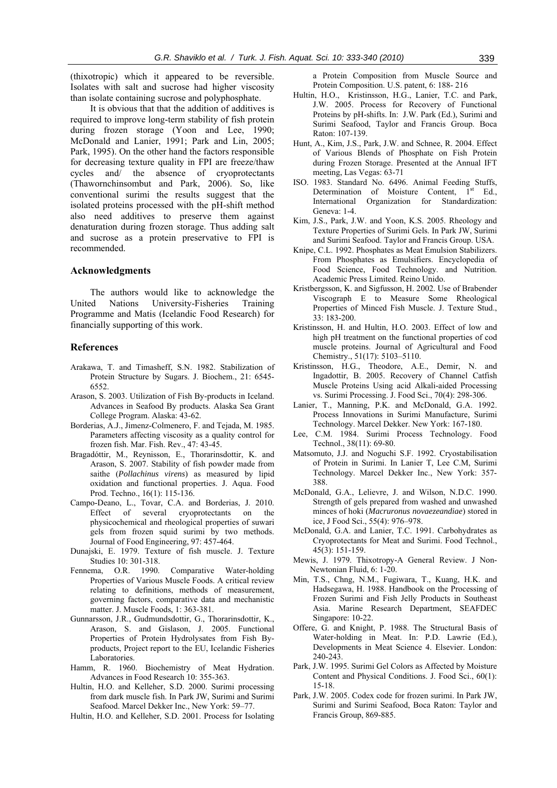(thixotropic) which it appeared to be reversible. Isolates with salt and sucrose had higher viscosity than isolate containing sucrose and polyphosphate.

It is obvious that that the addition of additives is required to improve long-term stability of fish protein during frozen storage (Yoon and Lee, 1990; McDonald and Lanier, 1991; Park and Lin, 2005; Park, 1995). On the other hand the factors responsible for decreasing texture quality in FPI are freeze/thaw cycles and/ the absence of cryoprotectants (Thawornchinsombut and Park, 2006). So, like conventional surimi the results suggest that the isolated proteins processed with the pH-shift method also need additives to preserve them against denaturation during frozen storage. Thus adding salt and sucrose as a protein preservative to FPI is recommended.

# **Acknowledgments**

The authors would like to acknowledge the United Nations University-Fisheries Training Programme and Matis (Icelandic Food Research) for financially supporting of this work.

# **References**

- Arakawa, T. and Timasheff, S.N. 1982. Stabilization of Protein Structure by Sugars. J. Biochem., 21: 6545- 6552.
- Arason, S. 2003. Utilization of Fish By-products in Iceland. Advances in Seafood By products. Alaska Sea Grant College Program. Alaska: 43-62.
- Borderias, A.J., Jimenz-Colmenero, F. and Tejada, M. 1985. Parameters affecting viscosity as a quality control for frozen fish. Mar. Fish. Rev., 47: 43-45.
- Bragadóttir, M., Reynisson, E., Thorarinsdottir, K. and Arason, S. 2007. Stability of fish powder made from saithe (*Pollachinus virens*) as measured by lipid oxidation and functional properties. J. Aqua. Food Prod. Techno., 16(1): 115-136.
- Campo-Deano, L., Tovar, C.A. and Borderias, J. 2010. Effect of several cryoprotectants on the physicochemical and rheological properties of suwari gels from frozen squid surimi by two methods. Journal of Food Engineering, 97: 457-464.
- Dunajski, E. 1979. Texture of fish muscle. J. Texture Studies 10: 301-318.
- Fennema, O.R. 1990. Comparative Water-holding Properties of Various Muscle Foods. A critical review relating to definitions, methods of measurement, governing factors, comparative data and mechanistic matter. J. Muscle Foods, 1: 363-381.
- Gunnarsson, J.R., Gudmundsdottir, G., Thorarinsdottir, K., Arason, S. and Gislason, J. 2005. Functional Properties of Protein Hydrolysates from Fish Byproducts, Project report to the EU, Icelandic Fisheries Laboratories.
- Hamm, R. 1960. Biochemistry of Meat Hydration. Advances in Food Research 10: 355-363.
- Hultin, H.O. and Kelleher, S.D. 2000. Surimi processing from dark muscle fish. In Park JW, Surimi and Surimi Seafood. Marcel Dekker Inc., New York: 59–77.
- Hultin, H.O. and Kelleher, S.D. 2001. Process for Isolating

a Protein Composition from Muscle Source and Protein Composition. U.S. patent, 6: 188- 216

- Hultin, H.O., Kristinsson, H.G., Lanier, T.C. and Park, J.W. 2005. Process for Recovery of Functional Proteins by pH-shifts. In: J.W. Park (Ed.), Surimi and Surimi Seafood, Taylor and Francis Group. Boca Raton: 107-139.
- Hunt, A., Kim, J.S., Park, J.W. and Schnee, R. 2004. Effect of Various Blends of Phosphate on Fish Protein during Frozen Storage. Presented at the Annual IFT meeting, Las Vegas: 63-71
- ISO. 1983. Standard No. 6496. Animal Feeding Stuffs, Determination of Moisture Content,  $1<sup>st</sup>$  Ed., International Organization for Standardization: Geneva: 1-4.
- Kim, J.S., Park, J.W. and Yoon, K.S. 2005. Rheology and Texture Properties of Surimi Gels. In Park JW, Surimi and Surimi Seafood. Taylor and Francis Group. USA.
- Knipe, C.L. 1992. Phosphates as Meat Emulsion Stabilizers. From Phosphates as Emulsifiers. Encyclopedia of Food Science, Food Technology. and Nutrition. Academic Press Limited. Reino Unido.
- Kristbergsson, K. and Sigfusson, H. 2002. Use of Brabender Viscograph E to Measure Some Rheological Properties of Minced Fish Muscle. J. Texture Stud., 33: 183-200.
- Kristinsson, H. and Hultin, H.O. 2003. Effect of low and high pH treatment on the functional properties of cod muscle proteins. Journal of Agricultural and Food Chemistry., 51(17): 5103–5110.
- Kristinsson, H.G., Theodore, A.E., Demir, N. and Ingadottir, B. 2005. Recovery of Channel Catfish Muscle Proteins Using acid Alkali-aided Processing vs. Surimi Processing. J. Food Sci., 70(4): 298-306.
- Lanier, T., Manning, P.K. and McDonald, G.A. 1992. Process Innovations in Surimi Manufacture, Surimi Technology. Marcel Dekker. New York: 167-180.
- Lee, C.M. 1984. Surimi Process Technology. Food Technol., 38(11): 69-80.
- Matsomuto, J.J. and Noguchi S.F. 1992. Cryostabilisation of Protein in Surimi. In Lanier T, Lee C.M, Surimi Technology. Marcel Dekker Inc., New York: 357- 388.
- McDonald, G.A., Lelievre, J. and Wilson, N.D.C. 1990. Strength of gels prepared from washed and unwashed minces of hoki (*Macruronus novaezeandiae*) stored in ice, J Food Sci., 55(4): 976–978.
- McDonald, G.A. and Lanier, T.C. 1991. Carbohydrates as Cryoprotectants for Meat and Surimi. Food Technol., 45(3): 151-159.
- Mewis, J. 1979. Thixotropy-A General Review. J Non-Newtonian Fluid, 6: 1-20.
- Min, T.S., Chng, N.M., Fugiwara, T., Kuang, H.K. and Hadsegawa, H. 1988. Handbook on the Processing of Frozen Surimi and Fish Jelly Products in Southeast Asia. Marine Research Department, SEAFDEC Singapore: 10-22.
- Offere, G. and Knight, P. 1988. The Structural Basis of Water-holding in Meat. In: P.D. Lawrie (Ed.), Developments in Meat Science 4. Elsevier. London: 240-243.
- Park, J.W. 1995. Surimi Gel Colors as Affected by Moisture Content and Physical Conditions. J. Food Sci., 60(1): 15-18.
- Park, J.W. 2005. Codex code for frozen surimi. In Park JW, Surimi and Surimi Seafood, Boca Raton: Taylor and Francis Group, 869-885.